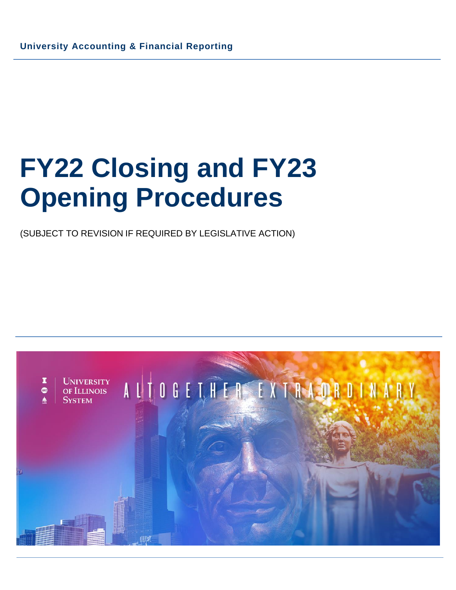# **FY22 Closing and FY23 Opening Procedures**

(SUBJECT TO REVISION IF REQUIRED BY LEGISLATIVE ACTION)

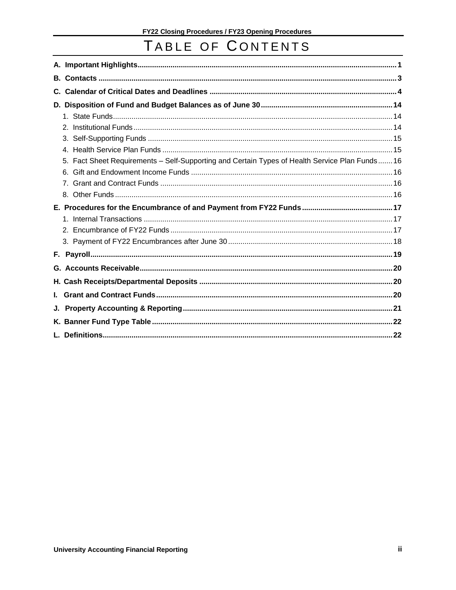# TABLE OF CONTENTS

| C. |                                                                                                |  |
|----|------------------------------------------------------------------------------------------------|--|
|    |                                                                                                |  |
|    |                                                                                                |  |
|    |                                                                                                |  |
|    |                                                                                                |  |
|    |                                                                                                |  |
|    | 5. Fact Sheet Requirements - Self-Supporting and Certain Types of Health Service Plan Funds 16 |  |
|    |                                                                                                |  |
|    |                                                                                                |  |
|    |                                                                                                |  |
|    |                                                                                                |  |
|    |                                                                                                |  |
|    |                                                                                                |  |
|    |                                                                                                |  |
|    |                                                                                                |  |
|    |                                                                                                |  |
|    |                                                                                                |  |
|    |                                                                                                |  |
| L. |                                                                                                |  |
| J. |                                                                                                |  |
|    |                                                                                                |  |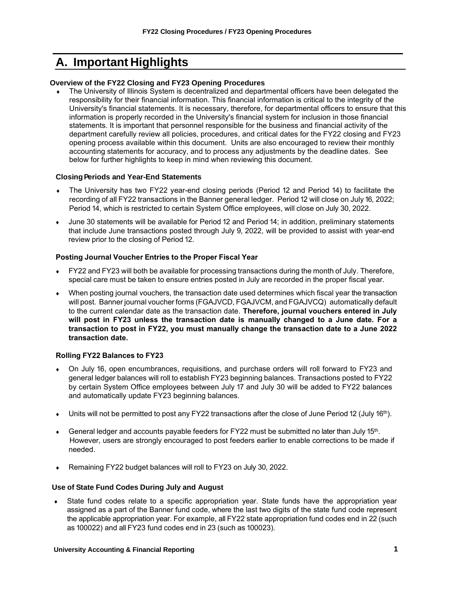# <span id="page-2-0"></span>**A. Important Highlights**

#### **Overview of the FY22 Closing and FY23 Opening Procedures**

 The University of Illinois System is decentralized and departmental officers have been delegated the responsibility for their financial information. This financial information is critical to the integrity of the University's financial statements. It is necessary, therefore, for departmental officers to ensure that this information is properly recorded in the University's financial system for inclusion in those financial statements. It is important that personnel responsible for the business and financial activity of the department carefully review all policies, procedures, and critical dates for the FY22 closing and FY23 opening process available within this document. Units are also encouraged to review their monthly accounting statements for accuracy, and to process any adjustments by the deadline dates. See below for further highlights to keep in mind when reviewing this document.

#### **ClosingPeriods and Year-End Statements**

- The University has two FY22 year-end closing periods (Period 12 and Period 14) to facilitate the recording of all FY22 transactions in the Banner general ledger. Period 12 will close on July 16, 2022; Period 14, which is restricted to certain System Office employees, will close on July 30, 2022.
- June 30 statements will be available for Period 12 and Period 14; in addition, preliminary statements that include June transactions posted through July 9, 2022, will be provided to assist with year-end review prior to the closing of Period 12.

#### **Posting Journal Voucher Entries to the Proper Fiscal Year**

- FY22 and FY23 will both be available for processing transactions during the month of July. Therefore, special care must be taken to ensure entries posted in July are recorded in the proper fiscal year.
- When posting journal vouchers, the transaction date used determines which fiscal year the transaction will post. Banner journal voucher forms (FGAJVCD, FGAJVCM, and FGAJVCQ) automatically default to the current calendar date as the transaction date. **Therefore, journal vouchers entered in July will post in FY23 unless the transaction date is manually changed to a June date. For a transaction to post in FY22, you must manually change the transaction date to a June 2022 transaction date.**

#### **Rolling FY22 Balances to FY23**

- On July 16, open encumbrances, requisitions, and purchase orders will roll forward to FY23 and general ledger balances will roll to establish FY23 beginning balances. Transactions posted to FY22 by certain System Office employees between July 17 and July 30 will be added to FY22 balances and automatically update FY23 beginning balances.
- Units will not be permitted to post any FY22 transactions after the close of June Period 12 (July 16<sup>th</sup>).
- $\bullet$  General ledger and accounts payable feeders for FY22 must be submitted no later than July 15<sup>th</sup>. However, users are strongly encouraged to post feeders earlier to enable corrections to be made if needed.
- Remaining FY22 budget balances will roll to FY23 on July 30, 2022.

#### **Use of State Fund Codes During July and August**

 State fund codes relate to a specific appropriation year. State funds have the appropriation year assigned as a part of the Banner fund code, where the last two digits of the state fund code represent the applicable appropriation year. For example, all FY22 state appropriation fund codes end in 22 (such as 100022) and all FY23 fund codes end in 23 (such as 100023).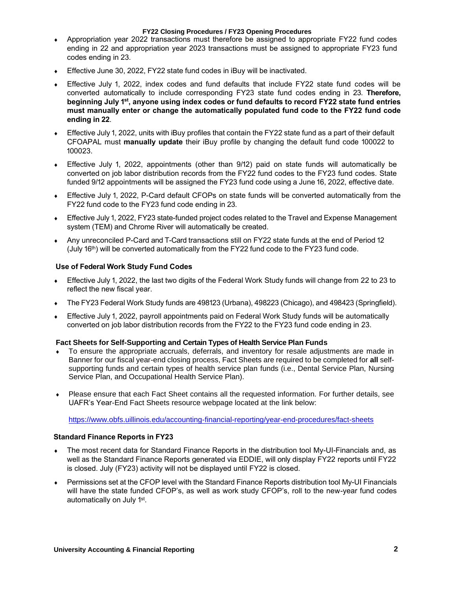#### **FY22 Closing Procedures / FY23 Opening Procedures**

- Appropriation year 2022 transactions must therefore be assigned to appropriate FY22 fund codes ending in 22 and appropriation year 2023 transactions must be assigned to appropriate FY23 fund codes ending in 23.
- Effective June 30, 2022, FY22 state fund codes in iBuy will be inactivated.
- Effective July 1, 2022, index codes and fund defaults that include FY22 state fund codes will be converted automatically to include corresponding FY23 state fund codes ending in 23. **Therefore, beginning July 1 st , anyone using index codes or fund defaults to record FY22 state fund entries must manually enter or change the automatically populated fund code to the FY22 fund code ending in 22**.
- Effective July 1, 2022, units with iBuy profiles that contain the FY22 state fund as a part of their default CFOAPAL must **manually update** their iBuy profile by changing the default fund code 100022 to 100023.
- Effective July 1, 2022, appointments (other than 9/12) paid on state funds will automatically be converted on job labor distribution records from the FY22 fund codes to the FY23 fund codes. State funded 9/12 appointments will be assigned the FY23 fund code using a June 16, 2022, effective date.
- Effective July 1, 2022, P-Card default CFOPs on state funds will be converted automatically from the FY22 fund code to the FY23 fund code ending in 23.
- Effective July 1, 2022, FY23 state-funded project codes related to the Travel and Expense Management system (TEM) and Chrome River will automatically be created.
- Any unreconciled P-Card and T-Card transactions still on FY22 state funds at the end of Period 12 (July 16<sup>th</sup>) will be converted automatically from the FY22 fund code to the FY23 fund code.

#### **Use of Federal Work Study Fund Codes**

- Effective July 1, 2022, the last two digits of the Federal Work Study funds will change from 22 to 23 to reflect the new fiscal year.
- The FY23 Federal Work Study funds are 498123 (Urbana), 498223 (Chicago), and 498423 (Springfield).
- Effective July 1, 2022, payroll appointments paid on Federal Work Study funds will be automatically converted on job labor distribution records from the FY22 to the FY23 fund code ending in 23.

#### **Fact Sheets for Self-Supporting and Certain Types of Health Service Plan Funds**

- To ensure the appropriate accruals, deferrals, and inventory for resale adjustments are made in Banner for our fiscal year-end closing process, Fact Sheets are required to be completed for **all** selfsupporting funds and certain types of health service plan funds (i.e., Dental Service Plan, Nursing Service Plan, and Occupational Health Service Plan).
- Please ensure that each Fact Sheet contains all the requested information. For further details, see UAFR's Year-End Fact Sheets resource webpage located at the link below:

<https://www.obfs.uillinois.edu/accounting-financial-reporting/year-end-procedures/fact-sheets>

#### **Standard Finance Reports in FY23**

- The most recent data for Standard Finance Reports in the distribution tool My-UI-Financials and, as well as the Standard Finance Reports generated via EDDIE, will only display FY22 reports until FY22 is closed. July (FY23) activity will not be displayed until FY22 is closed.
- Permissions set at the CFOP level with the Standard Finance Reports distribution tool My-UI Financials will have the state funded CFOP's, as well as work study CFOP's, roll to the new-year fund codes automatically on July 1<sup>st</sup>.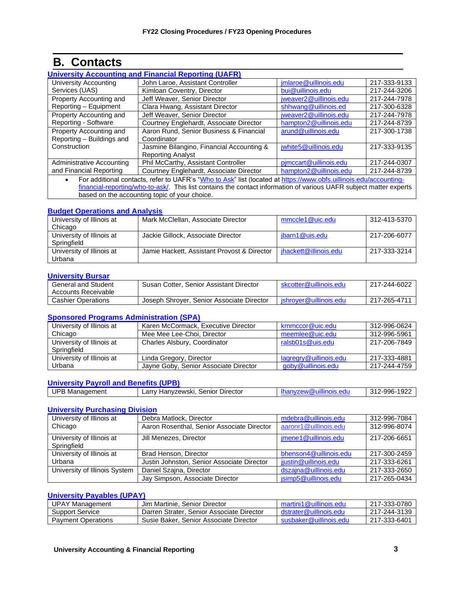# **B. Contacts**

<span id="page-4-0"></span>

| <b>University Accounting and Financial Reporting (UAFR)</b>                                                                    |                                           |                        |              |
|--------------------------------------------------------------------------------------------------------------------------------|-------------------------------------------|------------------------|--------------|
| University Accounting                                                                                                          | John Laroe, Assistant Controller          | jmlaroe@uillinois.edu  | 217-333-9133 |
| Services (UAS)                                                                                                                 | Kimloan Coventry, Director                | bui@uillinois.edu      | 217-244-3206 |
| Property Accounting and                                                                                                        | Jeff Weaver, Senior Director              | jweaver2@uillinois.edu | 217-244-7978 |
| Reporting - Equipment                                                                                                          | Clara Hwang, Assistant Director           | shhwang@uillinois.ed   | 217-300-6328 |
| Property Accounting and                                                                                                        | Jeff Weaver, Senior Director              | jweaver2@uillinois.edu | 217-244-7978 |
| Reporting - Software                                                                                                           | Courtney Englehardt, Associate Director   | hampton2@uillinois.edu | 217-244-8739 |
| Property Accounting and                                                                                                        | Aaron Rund, Senior Business & Financial   | arund@uillinois.edu    | 217-300-1738 |
| Reporting - Buildings and                                                                                                      | Coordinator                               |                        |              |
| Construction                                                                                                                   | Jasmine Bilangino, Financial Accounting & | jwhite5@uillinois.edu  | 217-333-9135 |
|                                                                                                                                | <b>Reporting Analyst</b>                  |                        |              |
| Administrative Accounting                                                                                                      | Phil McCarthy, Assistant Controller       | pimccart@uillinois.edu | 217-244-0307 |
| and Financial Reporting                                                                                                        | Courtney Englehardt, Associate Director   | hampton2@uillinois.edu | 217-244-8739 |
| For additional contacts, refer to UAFR's "Who to Ask" list (located at https://www.obfs.uillinois.edu/accounting-<br>$\bullet$ |                                           |                        |              |
| financial repetting who to eak This list contains the contact information of various LIAED subject motter experts              |                                           |                        |              |

[financial-reporting/who-to-ask/.](https://www.obfs.uillinois.edu/accounting-financial-reporting/who-to-ask/) This list contains the contact information of various UAFR subject matter experts based on the accounting topic of your choice.

#### **[Budget Operations and Analysis](https://www.obfs.uillinois.edu/budgeting/)**

| University of Illinois at | Mark McClellan, Associate Director          | mmccle1@uic.edu       | 312-413-5370 |
|---------------------------|---------------------------------------------|-----------------------|--------------|
| Chicago                   |                                             |                       |              |
| University of Illinois at | Jackie Gillock, Associate Director          | jbarn1@uis.edu        | 217-206-6077 |
| Springfield               |                                             |                       |              |
| University of Illinois at | Jamie Hackett, Assistant Provost & Director | jhackett@illinois.edu | 217-333-3214 |
| Urbana                    |                                             |                       |              |

#### **[University Bursar](https://www.obfs.uillinois.edu/usfsco/)**

| <b>General and Student</b><br>Accounts Receivable | Susan Cotter, Senior Assistant Director   | skcotter@uillinois.edu | 217-244-6022 |
|---------------------------------------------------|-------------------------------------------|------------------------|--------------|
| <b>Cashier Operations</b>                         | Joseph Shroyer, Senior Associate Director | ishrover@uillinois.edu | 217-265-4711 |

#### **[Sponsored Programs Administration](https://www.obfs.uillinois.edu/grants/) (SPA)**

| University of Illinois at                | Karen McCormack, Executive Director   | krnmccor@uic.edu       | 312-996-0624 |
|------------------------------------------|---------------------------------------|------------------------|--------------|
| Chicago                                  | Mee Mee Lee-Choi, Director            | meemlee@uic.edu        | 312-996-5961 |
| University of Illinois at<br>Springfield | Charles Alsbury, Coordinator          | ralsb01s@uis.edu       | 217-206-7849 |
| University of Illinois at                | Linda Gregory, Director               | lagregry@uillinois.edu | 217-333-4881 |
| Urbana                                   | Jayne Goby, Senior Associate Director | goby@uillinois.edu     | 217-244-4759 |

#### **[University Payroll and Benefits \(UPB\)](https://www.obfs.uillinois.edu/payroll/)**

| <b>UPP</b><br>$-21 - 12 - 12 - 12$<br>Mai<br>anager<br>nent | Director<br>$    -$<br>senior<br>-lanvzewski.<br>∟dil⊻<br>____ | 102'<br>aac<br>$-34$<br>$.40-$<br>-24 |
|-------------------------------------------------------------|----------------------------------------------------------------|---------------------------------------|
|                                                             |                                                                |                                       |

#### **[University Purchasing Division](https://www.obfs.uillinois.edu/purchases/)**

| University of Illinois at     | Debra Matlock, Director                    | mdebra@uillinois.edu   | 312-996-7084 |
|-------------------------------|--------------------------------------------|------------------------|--------------|
| Chicago                       | Aaron Rosenthal, Senior Associate Director | aaronr1@uillinois.edu  | 312-996-8074 |
| University of Illinois at     | Jill Menezes, Director                     | jmene1@uillinois.edu   | 217-206-6651 |
| Springfield                   |                                            |                        |              |
| University of Illinois at     | Brad Henson, Director                      | bhenson4@uillinois.edu | 217-300-2459 |
| Urbana                        | Justin Johnston, Senior Associate Director | jjustin@uillinois.edu  | 217-333-6261 |
| University of Illinois System | Daniel Szajna, Director                    | dszajna@uillinois.edu  | 217-333-2650 |
|                               | Jay Simpson, Associate Director            | jsimp5@uillinois.edu   | 217-265-0434 |

#### **[University Payables \(UPAY\)](https://www.obfs.uillinois.edu/payments/)**

| <b>JPAY Management</b>    | Jim Martinie, Senior Director             | martini1@uillinois.edu | 217-333-0780 |
|---------------------------|-------------------------------------------|------------------------|--------------|
| Support Service           | Darren Strater, Senior Associate Director | dstrater@uillinois.edu | 217-244-3139 |
| <b>Payment Operations</b> | Susie Baker, Senior Associate Director    | susbaker@uillinois.edu | 217-333-6401 |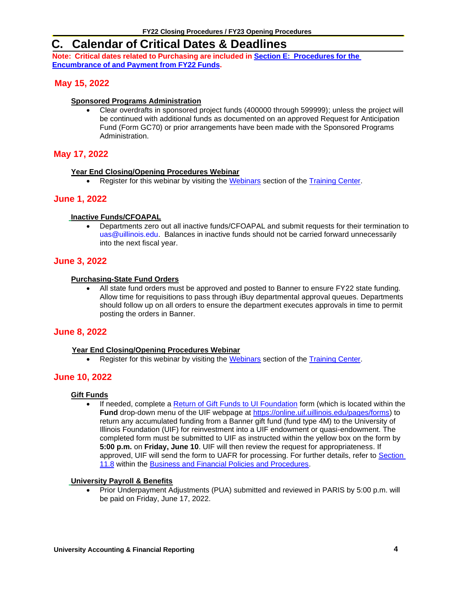# <span id="page-5-0"></span>**C. Calendar of Critical Dates & Deadlines**

**Note: Critical dates related to Purchasing are included in Section E: [Procedures](#page-18-1) for the [Encumbrance](#page-18-1) of and Payment from FY22 Funds.**

# **May 15, 2022**

#### **Sponsored Programs Administration**

• Clear overdrafts in sponsored project funds (400000 through 599999); unless the project will be continued with additional funds as documented on an approved Request for Anticipation Fund (Form GC70) or prior arrangements have been made with the Sponsored Programs Administration.

# **May 17, 2022**

#### **Year End Closing/Opening Procedures Webinar**

• Register for this webinar by visiting the [Webinars](https://www.obfs.uillinois.edu/training/webinars) section of the [Training Center.](https://www.obfs.uillinois.edu/training/)

# **June 1, 2022**

#### **Inactive Funds/CFOAPAL**

• Departments zero out all inactive funds/CFOAPAL and submit requests for their termination to [uas@uillinois.edu.](mailto:uas@uillinois.edu) Balances in inactive funds should not be carried forward unnecessarily into the next fiscal year.

### **June 3, 2022**

#### **Purchasing-State Fund Orders**

• All state fund orders must be approved and posted to Banner to ensure FY22 state funding. Allow time for requisitions to pass through iBuy departmental approval queues. Departments should follow up on all orders to ensure the department executes approvals in time to permit posting the orders in Banner.

### **June 8, 2022**

#### **Year End Closing/Opening Procedures Webinar**

• Register for this webinar by visiting the [Webinars](https://www.obfs.uillinois.edu/training/webinars) section of the [Training Center.](https://www.obfs.uillinois.edu/training/)

# **June 10, 2022**

#### **Gift Funds**

• If needed, complete a [Return of Gift Funds to UI Foundation](https://onlinecloudprod.uif.uillinois.edu/system/files/2019-05/Sec11-8TransferBANNERmoney.pdf?_ga=2.115374214.1893198321.1582128603-2044951025.1573163783) form (which is located within the **Fund** drop-down menu of the UIF webpage at [https://online.uif.uillinois.edu/pages/forms\)](https://online.uif.uillinois.edu/pages/forms) to return any accumulated funding from a Banner gift fund (fund type 4M) to the University of Illinois Foundation (UIF) for reinvestment into a UIF endowment or quasi-endowment. The completed form must be submitted to UIF as instructed within the yellow box on the form by **5:00 p.m.** on **Friday, June 10**. UIF will then review the request for appropriateness. If approved, UIF will send the form to UAFR for processing. For further details, refer to [Section](https://www.obfs.uillinois.edu/bfpp/section-11-gifts-endowments/section-11-8)  [11.8](https://www.obfs.uillinois.edu/bfpp/section-11-gifts-endowments/section-11-8) within the [Business and Financial Policies and Procedures.](https://www.obfs.uillinois.edu/bfpp/)

#### **University Payroll & Benefits**

• Prior Underpayment Adjustments (PUA) submitted and reviewed in PARIS by 5:00 p.m. will be paid on Friday, June 17, 2022.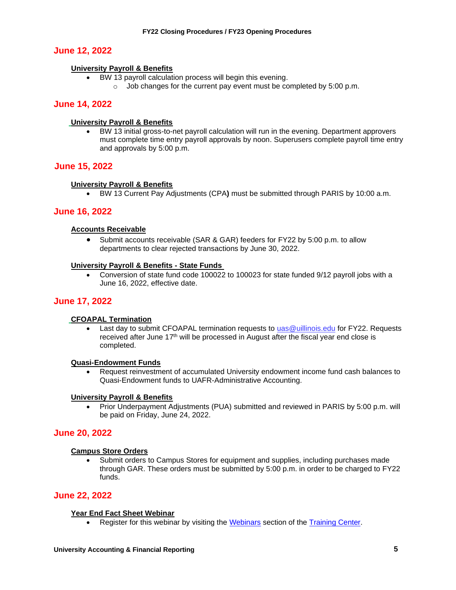### **June 12, 2022**

#### **University Payroll & Benefits**

- BW 13 payroll calculation process will begin this evening.
	- o Job changes for the current pay event must be completed by 5:00 p.m.

#### **June 14, 2022**

#### **University Payroll & Benefits**

• BW 13 initial gross-to-net payroll calculation will run in the evening. Department approvers must complete time entry payroll approvals by noon. Superusers complete payroll time entry and approvals by 5:00 p.m.

#### **June 15, 2022**

#### **University Payroll & Benefits**

• BW 13 Current Pay Adjustments (CPA**)** must be submitted through PARIS by 10:00 a.m.

#### **June 16, 2022**

#### **Accounts Receivable**

• Submit accounts receivable (SAR & GAR) feeders for FY22 by 5:00 p.m. to allow departments to clear rejected transactions by June 30, 2022.

#### **University Payroll & Benefits - State Funds**

• Conversion of state fund code 100022 to 100023 for state funded 9/12 payroll jobs with a June 16, 2022, effective date.

#### **June 17, 2022**

#### **CFOAPAL Termination**

Last day to submit CFOAPAL termination requests to uas @uillinois.edu for FY22. Requests received after June  $17<sup>th</sup>$  will be processed in August after the fiscal year end close is completed.

#### **Quasi-Endowment Funds**

• Request reinvestment of accumulated University endowment income fund cash balances to Quasi-Endowment funds to UAFR-Administrative Accounting.

#### **University Payroll & Benefits**

• Prior Underpayment Adjustments (PUA) submitted and reviewed in PARIS by 5:00 p.m. will be paid on Friday, June 24, 2022.

#### **June 20, 2022**

#### **Campus Store Orders**

• Submit orders to Campus Stores for equipment and supplies, including purchases made through GAR. These orders must be submitted by 5:00 p.m. in order to be charged to FY22 funds.

#### **June 22, 2022**

#### **Year End Fact Sheet Webinar**

• Register for this webinar by visiting the [Webinars](https://www.obfs.uillinois.edu/training/webinars) section of the [Training Center.](https://www.obfs.uillinois.edu/training/)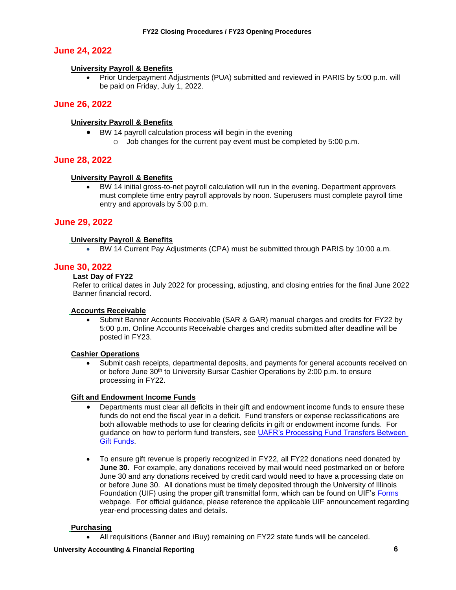# **June 24, 2022**

#### **University Payroll & Benefits**

• Prior Underpayment Adjustments (PUA) submitted and reviewed in PARIS by 5:00 p.m. will be paid on Friday, July 1, 2022.

### **June 26, 2022**

#### **University Payroll & Benefits**

- BW 14 payroll calculation process will begin in the evening
	- $\circ$  Job changes for the current pay event must be completed by 5:00 p.m.

#### **June 28, 2022**

#### **University Payroll & Benefits**

• BW 14 initial gross-to-net payroll calculation will run in the evening. Department approvers must complete time entry payroll approvals by noon. Superusers must complete payroll time entry and approvals by 5:00 p.m.

#### **June 29, 2022**

#### **University Payroll & Benefits**

• BW 14 Current Pay Adjustments (CPA) must be submitted through PARIS by 10:00 a.m.

#### **June 30, 2022**

#### **Last Day of FY22**

Refer to critical dates in July 2022 for processing, adjusting, and closing entries for the final June 2022 Banner financial record.

#### **Accounts Receivable**

• Submit Banner Accounts Receivable (SAR & GAR) manual charges and credits for FY22 by 5:00 p.m. Online Accounts Receivable charges and credits submitted after deadline will be posted in FY23.

#### **Cashier Operations**

• Submit cash receipts, departmental deposits, and payments for general accounts received on or before June 30th to University Bursar Cashier Operations by 2:00 p.m. to ensure processing in FY22.

#### **Gift and Endowment Income Funds**

- Departments must clear all deficits in their gift and endowment income funds to ensure these funds do not end the fiscal year in a deficit. Fund transfers or expense reclassifications are both allowable methods to use for clearing deficits in gift or endowment income funds. For guidance on how to perform fund transfers, see [UAFR's Processing Fund Transfers Between](https://www.obfs.uillinois.edu/common/pages/DisplayFile.aspx?itemId=1489980)  [Gift Funds.](https://www.obfs.uillinois.edu/common/pages/DisplayFile.aspx?itemId=1489980)
- To ensure gift revenue is properly recognized in FY22, all FY22 donations need donated by **June 30**. For example, any donations received by mail would need postmarked on or before June 30 and any donations received by credit card would need to have a processing date on or before June 30. All donations must be timely deposited through the University of Illinois Foundation (UIF) using the proper gift transmittal form, which can be found on UIF's [Forms](https://online.uif.uillinois.edu/pages/forms) webpage. For official guidance, please reference the applicable UIF announcement regarding year-end processing dates and details.

#### **Purchasing**

• All requisitions (Banner and iBuy) remaining on FY22 state funds will be canceled.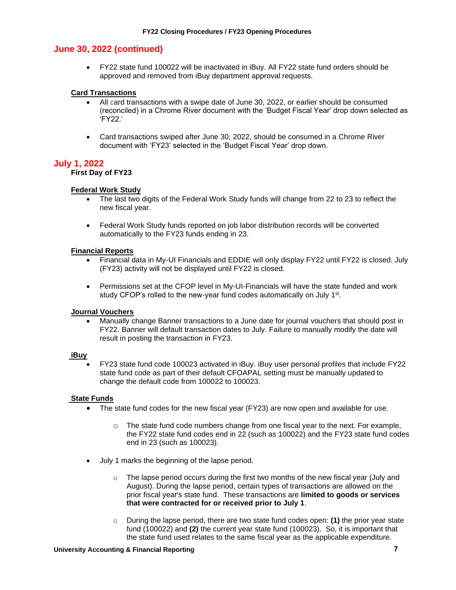# **June 30, 2022 (continued)**

• FY22 state fund 100022 will be inactivated in iBuy. All FY22 state fund orders should be approved and removed from iBuy department approval requests.

#### **Card Transactions**

- All card transactions with a swipe date of June 30, 2022, or earlier should be consumed (reconciled) in a Chrome River document with the 'Budget Fiscal Year' drop down selected as 'FY22.'
- Card transactions swiped after June 30, 2022, should be consumed in a Chrome River document with 'FY23' selected in the 'Budget Fiscal Year' drop down.

#### **July 1, 2022**

#### **First Day of FY23**

#### **Federal Work Study**

- The last two digits of the Federal Work Study funds will change from 22 to 23 to reflect the new fiscal year.
- Federal Work Study funds reported on job labor distribution records will be converted automatically to the FY23 funds ending in 23.

#### **Financial Reports**

- Financial data in My-UI Financials and EDDIE will only display FY22 until FY22 is closed. July (FY23) activity will not be displayed until FY22 is closed.
- Permissions set at the CFOP level in My-UI-Financials will have the state funded and work study CFOP's rolled to the new-year fund codes automatically on July 1<sup>st</sup>.

#### **Journal Vouchers**

• Manually change Banner transactions to a June date for journal vouchers that should post in FY22. Banner will default transaction dates to July. Failure to manually modify the date will result in posting the transaction in FY23.

#### **iBuy**

• FY23 state fund code 100023 activated in iBuy. iBuy user personal profiles that include FY22 state fund code as part of their default CFOAPAL setting must be manually updated to change the default code from 100022 to 100023.

#### **State Funds**

- The state fund codes for the new fiscal year (FY23) are now open and available for use.
	- o The state fund code numbers change from one fiscal year to the next. For example, the FY22 state fund codes end in 22 (such as 100022) and the FY23 state fund codes end in 23 (such as 100023).
- July 1 marks the beginning of the lapse period.
	- The lapse period occurs during the first two months of the new fiscal year (July and August). During the lapse period, certain types of transactions are allowed on the prior fiscal year's state fund. These transactions are **limited to goods or services that were contracted for or received prior to July 1**.
	- o During the lapse period, there are two state fund codes open: **(1)** the prior year state fund (100022) and **(2)** the current year state fund (100023). So, it is important that the state fund used relates to the same fiscal year as the applicable expenditure.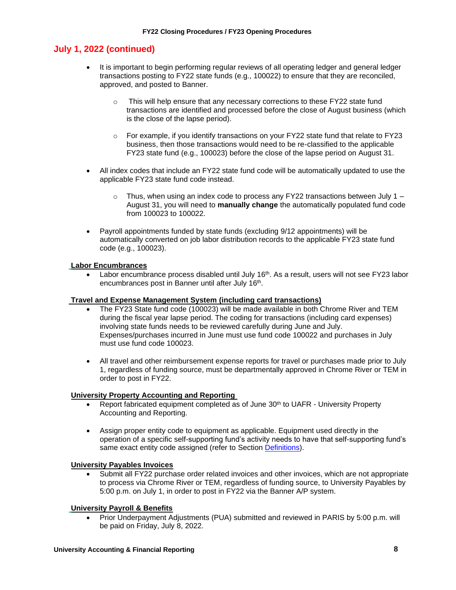#### **July 1, 2022 (continued)**

- It is important to begin performing regular reviews of all operating ledger and general ledger transactions posting to FY22 state funds (e.g., 100022) to ensure that they are reconciled, approved, and posted to Banner.
	- o This will help ensure that any necessary corrections to these FY22 state fund transactions are identified and processed before the close of August business (which is the close of the lapse period).
	- o For example, if you identify transactions on your FY22 state fund that relate to FY23 business, then those transactions would need to be re-classified to the applicable FY23 state fund (e.g., 100023) before the close of the lapse period on August 31.
- All index codes that include an FY22 state fund code will be automatically updated to use the applicable FY23 state fund code instead.
	- $\circ$  Thus, when using an index code to process any FY22 transactions between July 1 August 31, you will need to **manually change** the automatically populated fund code from 100023 to 100022.
- Payroll appointments funded by state funds (excluding 9/12 appointments) will be automatically converted on job labor distribution records to the applicable FY23 state fund code (e.g., 100023).

#### **Labor Encumbrances**

• Labor encumbrance process disabled until July  $16<sup>th</sup>$ . As a result, users will not see FY23 labor encumbrances post in Banner until after July 16<sup>th</sup>.

#### **Travel and Expense Management System (including card transactions)**

- The FY23 State fund code (100023) will be made available in both Chrome River and TEM during the fiscal year lapse period. The coding for transactions (including card expenses) involving state funds needs to be reviewed carefully during June and July. Expenses/purchases incurred in June must use fund code 100022 and purchases in July must use fund code 100023.
- All travel and other reimbursement expense reports for travel or purchases made prior to July 1, regardless of funding source, must be departmentally approved in Chrome River or TEM in order to post in FY22.

#### **University Property Accounting and Reporting**

- Report fabricated equipment completed as of June 30<sup>th</sup> to UAFR University Property Accounting and Reporting.
- Assign proper entity code to equipment as applicable. Equipment used directly in the operation of a specific self-supporting fund's activity needs to have that self-supporting fund's same exact entity code assigned (refer to Section [Definitions\)](#page-23-1).

#### **University Payables Invoices**

• Submit all FY22 purchase order related invoices and other invoices, which are not appropriate to process via Chrome River or TEM, regardless of funding source, to University Payables by 5:00 p.m. on July 1, in order to post in FY22 via the Banner A/P system.

#### **University Payroll & Benefits**

• Prior Underpayment Adjustments (PUA) submitted and reviewed in PARIS by 5:00 p.m. will be paid on Friday, July 8, 2022.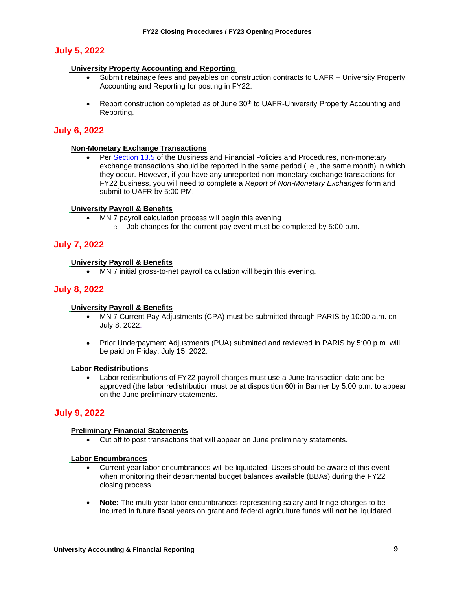# **July 5, 2022**

#### **University Property Accounting and Reporting**

- Submit retainage fees and payables on construction contracts to UAFR University Property Accounting and Reporting for posting in FY22.
- Report construction completed as of June 30th to UAFR-University Property Accounting and Reporting.

# **July 6, 2022**

#### **Non-Monetary Exchange Transactions**

• Per [Section 13.5](https://www.obfs.uillinois.edu/bfpp/section-13-accounting/non-monetary-exchanges) of the Business and Financial Policies and Procedures, non-monetary exchange transactions should be reported in the same period (i.e., the same month) in which they occur. However, if you have any unreported non-monetary exchange transactions for FY22 business, you will need to complete a *Report of Non-Monetary Exchanges* form and submit to UAFR by 5:00 PM.

#### **University Payroll & Benefits**

- MN 7 payroll calculation process will begin this evening
	- $\circ$  Job changes for the current pay event must be completed by 5:00 p.m.

# **July 7, 2022**

#### **University Payroll & Benefits**

• MN 7 initial gross-to-net payroll calculation will begin this evening.

### **July 8, 2022**

#### **University Payroll & Benefits**

- MN 7 Current Pay Adjustments (CPA) must be submitted through PARIS by 10:00 a.m. on July 8, 2022.
- Prior Underpayment Adjustments (PUA) submitted and reviewed in PARIS by 5:00 p.m. will be paid on Friday, July 15, 2022.

#### **Labor Redistributions**

• Labor redistributions of FY22 payroll charges must use a June transaction date and be approved (the labor redistribution must be at disposition 60) in Banner by 5:00 p.m. to appear on the June preliminary statements.

### **July 9, 2022**

#### **Preliminary Financial Statements**

• Cut off to post transactions that will appear on June preliminary statements.

#### **Labor Encumbrances**

- Current year labor encumbrances will be liquidated. Users should be aware of this event when monitoring their departmental budget balances available (BBAs) during the FY22 closing process.
- **Note:** The multi-year labor encumbrances representing salary and fringe charges to be incurred in future fiscal years on grant and federal agriculture funds will **not** be liquidated.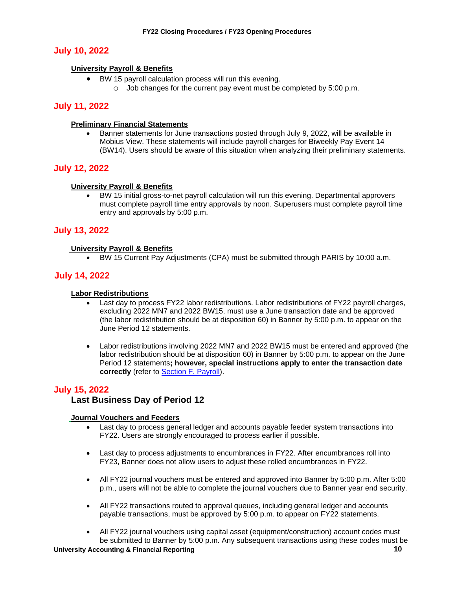# **July 10, 2022**

#### **University Payroll & Benefits**

- BW 15 payroll calculation process will run this evening.
	- o Job changes for the current pay event must be completed by 5:00 p.m.

### **July 11, 2022**

#### **Preliminary Financial Statements**

• Banner statements for June transactions posted through July 9, 2022, will be available in Mobius View. These statements will include payroll charges for Biweekly Pay Event 14 (BW14). Users should be aware of this situation when analyzing their preliminary statements.

#### **July 12, 2022**

#### **University Payroll & Benefits**

• BW 15 initial gross-to-net payroll calculation will run this evening. Departmental approvers must complete payroll time entry approvals by noon. Superusers must complete payroll time entry and approvals by 5:00 p.m.

#### **July 13, 2022**

#### **University Payroll & Benefits**

• BW 15 Current Pay Adjustments (CPA) must be submitted through PARIS by 10:00 a.m.

#### **July 14, 2022**

#### **Labor Redistributions**

- Last day to process FY22 labor redistributions. Labor redistributions of FY22 payroll charges, excluding 2022 MN7 and 2022 BW15, must use a June transaction date and be approved (the labor redistribution should be at disposition 60) in Banner by 5:00 p.m. to appear on the June Period 12 statements.
- Labor redistributions involving 2022 MN7 and 2022 BW15 must be entered and approved (the labor redistribution should be at disposition 60) in Banner by 5:00 p.m. to appear on the June Period 12 statements**; however, special instructions apply to enter the transaction date correctly** (refer to [Section F. Payroll\)](#page-20-0).

### **July 15, 2022**

#### **Last Business Day of Period 12**

#### **Journal Vouchers and Feeders**

- Last day to process general ledger and accounts payable feeder system transactions into FY22. Users are strongly encouraged to process earlier if possible.
- Last day to process adjustments to encumbrances in FY22. After encumbrances roll into FY23, Banner does not allow users to adjust these rolled encumbrances in FY22.
- All FY22 journal vouchers must be entered and approved into Banner by 5:00 p.m. After 5:00 p.m., users will not be able to complete the journal vouchers due to Banner year end security.
- All FY22 transactions routed to approval queues, including general ledger and accounts payable transactions, must be approved by 5:00 p.m. to appear on FY22 statements.
- All FY22 journal vouchers using capital asset (equipment/construction) account codes must be submitted to Banner by 5:00 p.m. Any subsequent transactions using these codes must be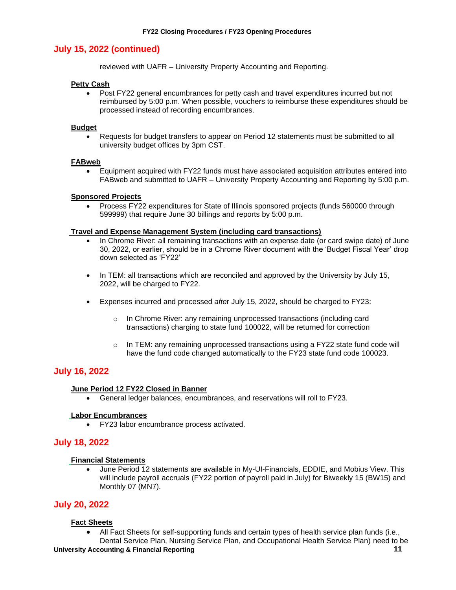# **July 15, 2022 (continued)**

reviewed with UAFR – University Property Accounting and Reporting.

#### **Petty Cash**

• Post FY22 general encumbrances for petty cash and travel expenditures incurred but not reimbursed by 5:00 p.m. When possible, vouchers to reimburse these expenditures should be processed instead of recording encumbrances.

#### **Budget**

• Requests for budget transfers to appear on Period 12 statements must be submitted to all university budget offices by 3pm CST.

#### **FABweb**

• Equipment acquired with FY22 funds must have associated acquisition attributes entered into FABweb and submitted to UAFR – University Property Accounting and Reporting by 5:00 p.m.

#### **Sponsored Projects**

• Process FY22 expenditures for State of Illinois sponsored projects (funds 560000 through 599999) that require June 30 billings and reports by 5:00 p.m.

#### **Travel and Expense Management System (including card transactions)**

- In Chrome River: all remaining transactions with an expense date (or card swipe date) of June 30, 2022, or earlier, should be in a Chrome River document with the 'Budget Fiscal Year' drop down selected as 'FY22'
- In TEM: all transactions which are reconciled and approved by the University by July 15, 2022, will be charged to FY22.
- Expenses incurred and processed *afte*r July 15, 2022, should be charged to FY23:
	- o In Chrome River: any remaining unprocessed transactions (including card transactions) charging to state fund 100022, will be returned for correction
	- $\circ$  In TEM: any remaining unprocessed transactions using a FY22 state fund code will have the fund code changed automatically to the FY23 state fund code 100023.

#### **July 16, 2022**

#### **June Period 12 FY22 Closed in Banner**

• General ledger balances, encumbrances, and reservations will roll to FY23.

#### **Labor Encumbrances**

• FY23 labor encumbrance process activated.

### **July 18, 2022**

#### **Financial Statements**

• June Period 12 statements are available in My-UI-Financials, EDDIE, and Mobius View. This will include payroll accruals (FY22 portion of payroll paid in July) for Biweekly 15 (BW15) and Monthly 07 (MN7).

#### **July 20, 2022**

#### **Fact Sheets**

• All Fact Sheets for self-supporting funds and certain types of health service plan funds (i.e., Dental Service Plan, Nursing Service Plan, and Occupational Health Service Plan) need to be

#### **University Accounting & Financial Reporting 11**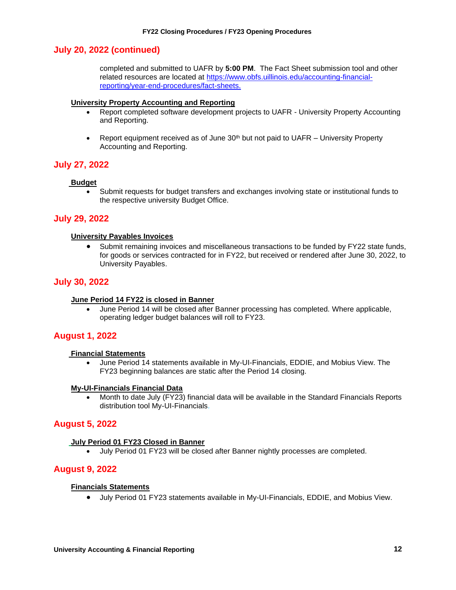#### **July 20, 2022 (continued)**

completed and submitted to UAFR by **5:00 PM**. The Fact Sheet submission tool and other related resources are located at [https://www.obfs.uillinois.edu/accounting-financial](https://www.obfs.uillinois.edu/accounting-financial-reporting/year-end-procedures/fact-sheets)[reporting/year-end-procedures/fact-sheets.](https://www.obfs.uillinois.edu/accounting-financial-reporting/year-end-procedures/fact-sheets)

#### **University Property Accounting and Reporting**

- Report completed software development projects to UAFR University Property Accounting and Reporting.
- Report equipment received as of June  $30<sup>th</sup>$  but not paid to UAFR University Property Accounting and Reporting.

#### **July 27, 2022**

#### **Budget**

• Submit requests for budget transfers and exchanges involving state or institutional funds to the respective university Budget Office.

#### **July 29, 2022**

#### **University Payables Invoices**

• Submit remaining invoices and miscellaneous transactions to be funded by FY22 state funds, for goods or services contracted for in FY22, but received or rendered after June 30, 2022, to University Payables.

#### **July 30, 2022**

#### **June Period 14 FY22 is closed in Banner**

• June Period 14 will be closed after Banner processing has completed. Where applicable, operating ledger budget balances will roll to FY23.

#### **August 1, 2022**

#### **Financial Statements**

• June Period 14 statements available in My-UI-Financials, EDDIE, and Mobius View. The FY23 beginning balances are static after the Period 14 closing.

#### **My-UI-Financials Financial Data**

• Month to date July (FY23) financial data will be available in the Standard Financials Reports distribution tool My-UI-Financials.

#### **August 5, 2022**

#### **July Period 01 FY23 Closed in Banner**

• July Period 01 FY23 will be closed after Banner nightly processes are completed.

#### **August 9, 2022**

#### **Financials Statements**

• July Period 01 FY23 statements available in My-UI-Financials, EDDIE, and Mobius View.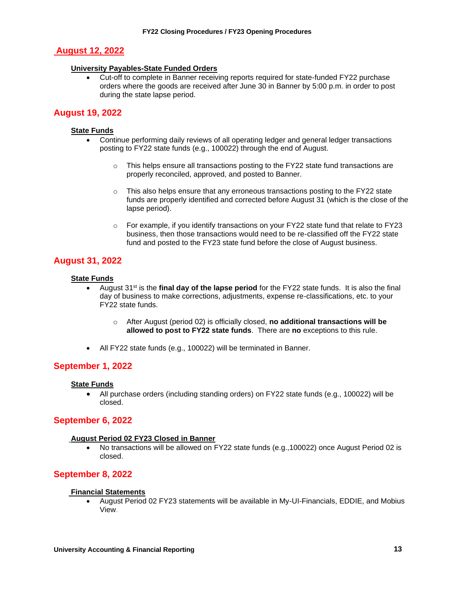# **August 12, 2022**

#### **University Payables-State Funded Orders**

• Cut-off to complete in Banner receiving reports required for state-funded FY22 purchase orders where the goods are received after June 30 in Banner by 5:00 p.m. in order to post during the state lapse period.

# **August 19, 2022**

#### **State Funds**

- Continue performing daily reviews of all operating ledger and general ledger transactions posting to FY22 state funds (e.g., 100022) through the end of August.
	- $\circ$  This helps ensure all transactions posting to the FY22 state fund transactions are properly reconciled, approved, and posted to Banner.
	- $\circ$  This also helps ensure that any erroneous transactions posting to the FY22 state funds are properly identified and corrected before August 31 (which is the close of the lapse period).
	- $\circ$  For example, if you identify transactions on your FY22 state fund that relate to FY23 business, then those transactions would need to be re-classified off the FY22 state fund and posted to the FY23 state fund before the close of August business.

# **August 31, 2022**

#### **State Funds**

- August 31<sup>st</sup> is the **final day of the lapse period** for the FY22 state funds. It is also the final day of business to make corrections, adjustments, expense re-classifications, etc. to your FY22 state funds.
	- o After August (period 02) is officially closed, **no additional transactions will be allowed to post to FY22 state funds**. There are **no** exceptions to this rule.
- All FY22 state funds (e.g., 100022) will be terminated in Banner.

### **September 1, 2022**

#### **State Funds**

• All purchase orders (including standing orders) on FY22 state funds (e.g., 100022) will be closed.

### **September 6, 2022**

#### **August Period 02 FY23 Closed in Banner**

• No transactions will be allowed on FY22 state funds (e.g.,100022) once August Period 02 is closed.

# **September 8, 2022**

#### **Financial Statements**

• August Period 02 FY23 statements will be available in My-UI-Financials, EDDIE, and Mobius View.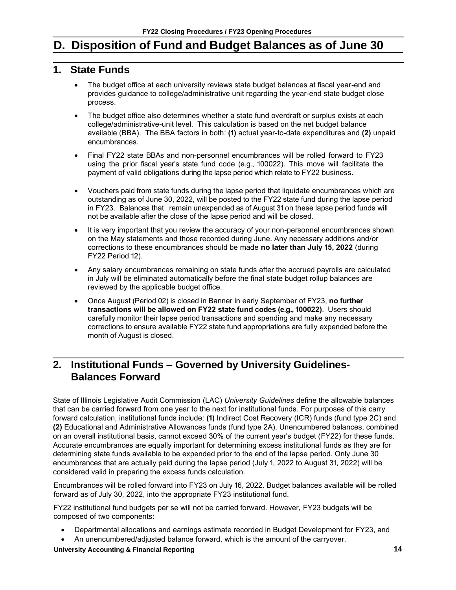# <span id="page-15-0"></span>**D. Disposition of Fund and Budget Balances as of June 30**

# <span id="page-15-1"></span>**1. State Funds**

- The budget office at each university reviews state budget balances at fiscal year-end and provides guidance to college/administrative unit regarding the year-end state budget close process.
- The budget office also determines whether a state fund overdraft or surplus exists at each college/administrative-unit level. This calculation is based on the net budget balance available (BBA). The BBA factors in both: **(1)** actual year-to-date expenditures and **(2)** unpaid encumbrances.
- Final FY22 state BBAs and non-personnel encumbrances will be rolled forward to FY23 using the prior fiscal year's state fund code (e.g., 100022). This move will facilitate the payment of valid obligations during the lapse period which relate to FY22 business.
- Vouchers paid from state funds during the lapse period that liquidate encumbrances which are outstanding as of June 30, 2022, will be posted to the FY22 state fund during the lapse period in FY23. Balances that remain unexpended as of August 31 on these lapse period funds will not be available after the close of the lapse period and will be closed.
- It is very important that you review the accuracy of your non-personnel encumbrances shown on the May statements and those recorded during June. Any necessary additions and/or corrections to these encumbrances should be made **no later than July 15, 2022** (during FY22 Period 12).
- Any salary encumbrances remaining on state funds after the accrued payrolls are calculated in July will be eliminated automatically before the final state budget rollup balances are reviewed by the applicable budget office.
- Once August (Period 02) is closed in Banner in early September of FY23, **no further transactions will be allowed on FY22 state fund codes (e.g., 100022)**. Users should carefully monitor their lapse period transactions and spending and make any necessary corrections to ensure available FY22 state fund appropriations are fully expended before the month of August is closed.

# <span id="page-15-2"></span>**2. Institutional Funds – Governed by University Guidelines-Balances Forward**

State of Illinois Legislative Audit Commission (LAC) *University Guidelines* define the allowable balances that can be carried forward from one year to the next for institutional funds. For purposes of this carry forward calculation, institutional funds include: **(1)** Indirect Cost Recovery (ICR) funds (fund type 2C) and **(2)** Educational and Administrative Allowances funds (fund type 2A). Unencumbered balances, combined on an overall institutional basis, cannot exceed 30% of the current year's budget (FY22) for these funds. Accurate encumbrances are equally important for determining excess institutional funds as they are for determining state funds available to be expended prior to the end of the lapse period. Only June 30 encumbrances that are actually paid during the lapse period (July 1, 2022 to August 31, 2022) will be considered valid in preparing the excess funds calculation.

Encumbrances will be rolled forward into FY23 on July 16, 2022. Budget balances available will be rolled forward as of July 30, 2022, into the appropriate FY23 institutional fund.

FY22 institutional fund budgets per se will not be carried forward. However, FY23 budgets will be composed of two components:

- Departmental allocations and earnings estimate recorded in Budget Development for FY23, and
- An unencumbered/adjusted balance forward, which is the amount of the carryover.

**University Accounting & Financial Reporting 14**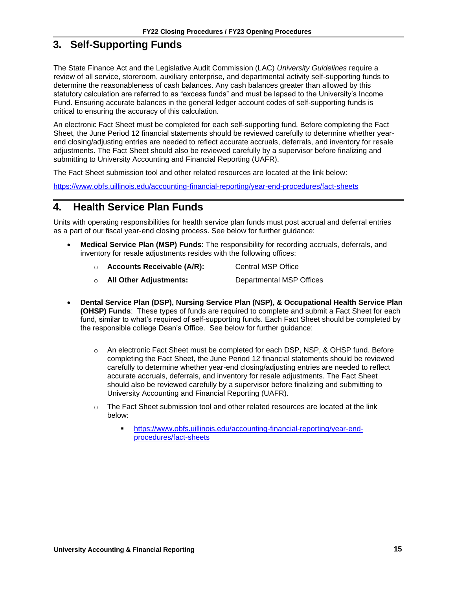# <span id="page-16-0"></span>**3. Self-Supporting Funds**

The State Finance Act and the Legislative Audit Commission (LAC) *University Guidelines* require a review of all service, storeroom, auxiliary enterprise, and departmental activity self-supporting funds to determine the reasonableness of cash balances. Any cash balances greater than allowed by this statutory calculation are referred to as "excess funds" and must be lapsed to the University's Income Fund. Ensuring accurate balances in the general ledger account codes of self-supporting funds is critical to ensuring the accuracy of this calculation.

An electronic Fact Sheet must be completed for each self-supporting fund. Before completing the Fact Sheet, the June Period 12 financial statements should be reviewed carefully to determine whether yearend closing/adjusting entries are needed to reflect accurate accruals, deferrals, and inventory for resale adjustments. The Fact Sheet should also be reviewed carefully by a supervisor before finalizing and submitting to University Accounting and Financial Reporting (UAFR).

The Fact Sheet submission tool and other related resources are located at the link below:

<https://www.obfs.uillinois.edu/accounting-financial-reporting/year-end-procedures/fact-sheets>

# <span id="page-16-1"></span>**4. Health Service Plan Funds**

Units with operating responsibilities for health service plan funds must post accrual and deferral entries as a part of our fiscal year-end closing process. See below for further guidance:

- **Medical Service Plan (MSP) Funds**: The responsibility for recording accruals, deferrals, and inventory for resale adjustments resides with the following offices:
	- o **Accounts Receivable (A/R):** Central MSP Office
	- o **All Other Adjustments:** Departmental MSP Offices
- **Dental Service Plan (DSP), Nursing Service Plan (NSP), & Occupational Health Service Plan (OHSP) Funds**: These types of funds are required to complete and submit a Fact Sheet for each fund, similar to what's required of self-supporting funds. Each Fact Sheet should be completed by the responsible college Dean's Office. See below for further guidance:
	- $\circ$  An electronic Fact Sheet must be completed for each DSP, NSP, & OHSP fund. Before completing the Fact Sheet, the June Period 12 financial statements should be reviewed carefully to determine whether year-end closing/adjusting entries are needed to reflect accurate accruals, deferrals, and inventory for resale adjustments. The Fact Sheet should also be reviewed carefully by a supervisor before finalizing and submitting to University Accounting and Financial Reporting (UAFR).
	- $\circ$  The Fact Sheet submission tool and other related resources are located at the link below:
		- [https://www.obfs.uillinois.edu/accounting-financial-reporting/year-end](https://www.obfs.uillinois.edu/accounting-financial-reporting/year-end-procedures/fact-sheets)[procedures/fact-sheets](https://www.obfs.uillinois.edu/accounting-financial-reporting/year-end-procedures/fact-sheets)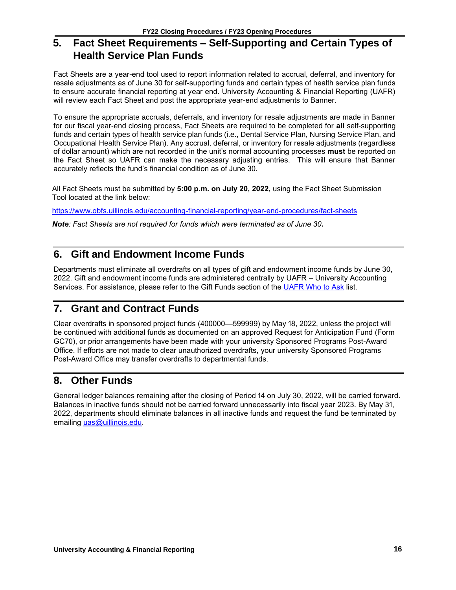# <span id="page-17-0"></span>**5. Fact Sheet Requirements – Self-Supporting and Certain Types of Health Service Plan Funds**

Fact Sheets are a year-end tool used to report information related to accrual, deferral, and inventory for resale adjustments as of June 30 for self-supporting funds and certain types of health service plan funds to ensure accurate financial reporting at year end. University Accounting & Financial Reporting (UAFR) will review each Fact Sheet and post the appropriate year-end adjustments to Banner.

To ensure the appropriate accruals, deferrals, and inventory for resale adjustments are made in Banner for our fiscal year-end closing process, Fact Sheets are required to be completed for **all** self-supporting funds and certain types of health service plan funds (i.e., Dental Service Plan, Nursing Service Plan, and Occupational Health Service Plan). Any accrual, deferral, or inventory for resale adjustments (regardless of dollar amount) which are not recorded in the unit's normal accounting processes **must** be reported on the Fact Sheet so UAFR can make the necessary adjusting entries. This will ensure that Banner accurately reflects the fund's financial condition as of June 30.

All Fact Sheets must be submitted by **5:00 p.m. on July 20, 2022,** using the Fact Sheet Submission Tool located at the link below:

<https://www.obfs.uillinois.edu/accounting-financial-reporting/year-end-procedures/fact-sheets>

*Note: Fact Sheets are not required for funds which were terminated as of June 30***.**

# <span id="page-17-1"></span>**6. Gift and Endowment Income Funds**

Departments must eliminate all overdrafts on all types of gift and endowment income funds by June 30, 2022. Gift and endowment income funds are administered centrally by UAFR – University Accounting Services. For assistance, please refer to the Gift Funds section of the [UAFR Who to Ask](https://www.obfs.uillinois.edu/accounting-financial-reporting/who-to-ask/types-questions#gift-funds-4m) list.

# <span id="page-17-2"></span>**7. Grant and Contract Funds**

Clear overdrafts in sponsored project funds (400000—599999) by May 18, 2022, unless the project will be continued with additional funds as documented on an approved Request for Anticipation Fund (Form GC70), or prior arrangements have been made with your university Sponsored Programs Post-Award Office. If efforts are not made to clear unauthorized overdrafts, your university Sponsored Programs Post-Award Office may transfer overdrafts to departmental funds.

# <span id="page-17-3"></span>**8. Other Funds**

General ledger balances remaining after the closing of Period 14 on July 30, 2022, will be carried forward. Balances in inactive funds should not be carried forward unnecessarily into fiscal year 2023. By May 31, 2022, departments should eliminate balances in all inactive funds and request the fund be terminated by emailing [uas@uillinois.edu.](mailto:uas@uillinois.edu)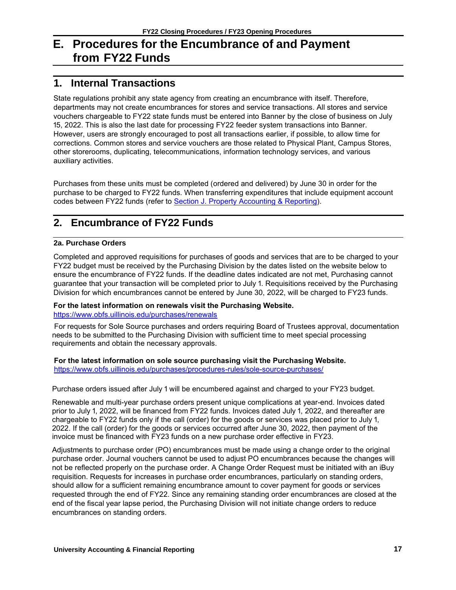# <span id="page-18-0"></span>**E. Procedures for the Encumbrance of and Payment from FY22 Funds**

# <span id="page-18-1"></span>**1. Internal Transactions**

State regulations prohibit any state agency from creating an encumbrance with itself. Therefore, departments may not create encumbrances for stores and service transactions. All stores and service vouchers chargeable to FY22 state funds must be entered into Banner by the close of business on July 15, 2022. This is also the last date for processing FY22 feeder system transactions into Banner. However, users are strongly encouraged to post all transactions earlier, if possible, to allow time for corrections. Common stores and service vouchers are those related to Physical Plant, Campus Stores, other storerooms, duplicating, telecommunications, information technology services, and various auxiliary activities.

Purchases from these units must be completed (ordered and delivered) by June 30 in order for the purchase to be charged to FY22 funds. When transferring expenditures that include equipment account codes between FY22 funds (refer to Section J. [Property Accounting & Reporting\)](#page-22-0).

# <span id="page-18-2"></span>**2. Encumbrance of FY22 Funds**

#### **2a. Purchase Orders**

Completed and approved requisitions for purchases of goods and services that are to be charged to your FY22 budget must be received by the Purchasing Division by the dates listed on the website below to ensure the encumbrance of FY22 funds. If the deadline dates indicated are not met, Purchasing cannot guarantee that your transaction will be completed prior to July 1. Requisitions received by the Purchasing Division for which encumbrances cannot be entered by June 30, 2022, will be charged to FY23 funds.

#### **For the latest information on renewals visit the Purchasing Website.** <https://www.obfs.uillinois.edu/purchases/renewals>

For requests for Sole Source purchases and orders requiring Board of Trustees approval, documentation needs to be submitted to the Purchasing Division with sufficient time to meet special processing requirements and obtain the necessary approvals.

#### **For the latest information on sole source purchasing visit the Purchasing Website.**

<https://www.obfs.uillinois.edu/purchases/procedures-rules/sole-source-purchases/>

Purchase orders issued after July 1 will be encumbered against and charged to your FY23 budget.

Renewable and multi-year purchase orders present unique complications at year-end. Invoices dated prior to July 1, 2022, will be financed from FY22 funds. Invoices dated July 1, 2022, and thereafter are chargeable to FY22 funds only if the call (order) for the goods or services was placed prior to July 1, 2022. If the call (order) for the goods or services occurred after June 30, 2022, then payment of the invoice must be financed with FY23 funds on a new purchase order effective in FY23.

Adjustments to purchase order (PO) encumbrances must be made using a change order to the original purchase order. Journal vouchers cannot be used to adjust PO encumbrances because the changes will not be reflected properly on the purchase order. A Change Order Request must be initiated with an iBuy requisition. Requests for increases in purchase order encumbrances, particularly on standing orders, should allow for a sufficient remaining encumbrance amount to cover payment for goods or services requested through the end of FY22. Since any remaining standing order encumbrances are closed at the end of the fiscal year lapse period, the Purchasing Division will not initiate change orders to reduce encumbrances on standing orders.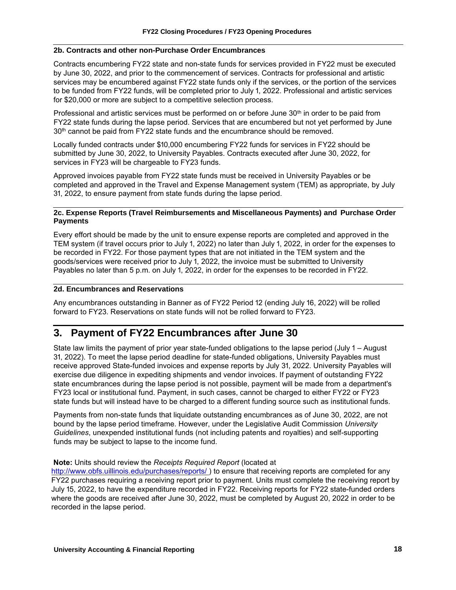#### **2b. Contracts and other non-Purchase Order Encumbrances**

Contracts encumbering FY22 state and non-state funds for services provided in FY22 must be executed by June 30, 2022, and prior to the commencement of services. Contracts for professional and artistic services may be encumbered against FY22 state funds only if the services, or the portion of the services to be funded from FY22 funds, will be completed prior to July 1, 2022. Professional and artistic services for \$20,000 or more are subject to a competitive selection process.

Professional and artistic services must be performed on or before June  $30<sup>th</sup>$  in order to be paid from FY22 state funds during the lapse period. Services that are encumbered but not yet performed by June 30<sup>th</sup> cannot be paid from FY22 state funds and the encumbrance should be removed.

Locally funded contracts under \$10,000 encumbering FY22 funds for services in FY22 should be submitted by June 30, 2022, to University Payables. Contracts executed after June 30, 2022, for services in FY23 will be chargeable to FY23 funds.

Approved invoices payable from FY22 state funds must be received in University Payables or be completed and approved in the Travel and Expense Management system (TEM) as appropriate, by July 31, 2022, to ensure payment from state funds during the lapse period.

#### **2c. Expense Reports (Travel Reimbursements and Miscellaneous Payments) and Purchase Order Payments**

Every effort should be made by the unit to ensure expense reports are completed and approved in the TEM system (if travel occurs prior to July 1, 2022) no later than July 1, 2022, in order for the expenses to be recorded in FY22. For those payment types that are not initiated in the TEM system and the goods/services were received prior to July 1, 2022, the invoice must be submitted to University Payables no later than 5 p.m. on July 1, 2022, in order for the expenses to be recorded in FY22.

#### **2d. Encumbrances and Reservations**

Any encumbrances outstanding in Banner as of FY22 Period 12 (ending July 16, 2022) will be rolled forward to FY23. Reservations on state funds will not be rolled forward to FY23.

# <span id="page-19-0"></span>**3. Payment of FY22 Encumbrances after June 30**

State law limits the payment of prior year state-funded obligations to the lapse period (July 1 – August 31, 2022). To meet the lapse period deadline for state-funded obligations, University Payables must receive approved State-funded invoices and expense reports by July 31, 2022. University Payables will exercise due diligence in expediting shipments and vendor invoices. If payment of outstanding FY22 state encumbrances during the lapse period is not possible, payment will be made from a department's FY23 local or institutional fund. Payment, in such cases, cannot be charged to either FY22 or FY23 state funds but will instead have to be charged to a different funding source such as institutional funds.

Payments from non-state funds that liquidate outstanding encumbrances as of June 30, 2022, are not bound by the lapse period timeframe. However, under the Legislative Audit Commission *University Guidelines*, unexpended institutional funds (not including patents and royalties) and self-supporting funds may be subject to lapse to the income fund.

#### **Note:** Units should review the *Receipts Required Report* (located at

[http://www.obfs.uillinois.edu/purchases/reports/ \)](http://www.obfs.uillinois.edu/purchases/reports/) to ensure that receiving reports are completed for any FY22 purchases requiring a receiving report prior to payment. Units must complete the receiving report by July 15, 2022, to have the expenditure recorded in FY22. Receiving reports for FY22 state-funded orders where the goods are received after June 30, 2022, must be completed by August 20, 2022 in order to be recorded in the lapse period.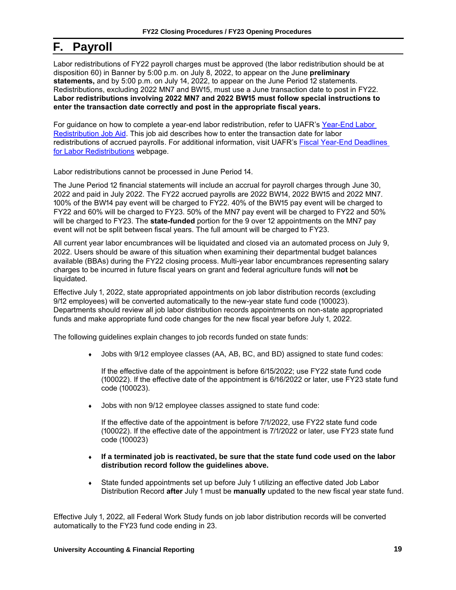# <span id="page-20-0"></span>**F. Payroll**

Labor redistributions of FY22 payroll charges must be approved (the labor redistribution should be at disposition 60) in Banner by 5:00 p.m. on July 8, 2022, to appear on the June **preliminary statements,** and by 5:00 p.m. on July 14, 2022, to appear on the June Period 12 statements. Redistributions, excluding 2022 MN7 and BW15, must use a June transaction date to post in FY22. **Labor redistributions involving 2022 MN7 and 2022 BW15 must follow special instructions to enter the transaction date correctly and post in the appropriate fiscal years.**

For guidance on how to complete a year-end labor redistribution, refer to UAFR's [Year-End Labor](https://www.obfs.uillinois.edu/common/pages/DisplayFile.aspx?itemId=96588)  [Redistribution Job Aid.](https://www.obfs.uillinois.edu/common/pages/DisplayFile.aspx?itemId=96588) This job aid describes how to enter the transaction date for labor redistributions of accrued payrolls. For additional information, visit UAFR's [Fiscal Year-End Deadlines](https://www.obfs.uillinois.edu/accounting-financial-reporting/year-end-procedures/year-end-deadlines/)  [for Labor Redistributions](https://www.obfs.uillinois.edu/accounting-financial-reporting/year-end-procedures/year-end-deadlines/) webpage.

Labor redistributions cannot be processed in June Period 14.

The June Period 12 financial statements will include an accrual for payroll charges through June 30, 2022 and paid in July 2022. The FY22 accrued payrolls are 2022 BW14, 2022 BW15 and 2022 MN7. 100% of the BW14 pay event will be charged to FY22. 40% of the BW15 pay event will be charged to FY22 and 60% will be charged to FY23. 50% of the MN7 pay event will be charged to FY22 and 50% will be charged to FY23. The **state-funded** portion for the 9 over 12 appointments on the MN7 pay event will not be split between fiscal years. The full amount will be charged to FY23.

All current year labor encumbrances will be liquidated and closed via an automated process on July 9, 2022. Users should be aware of this situation when examining their departmental budget balances available (BBAs) during the FY22 closing process. Multi-year labor encumbrances representing salary charges to be incurred in future fiscal years on grant and federal agriculture funds will **not** be liquidated.

Effective July 1, 2022, state appropriated appointments on job labor distribution records (excluding 9/12 employees) will be converted automatically to the new-year state fund code (100023). Departments should review all job labor distribution records appointments on non-state appropriated funds and make appropriate fund code changes for the new fiscal year before July 1, 2022.

The following guidelines explain changes to job records funded on state funds:

Jobs with 9/12 employee classes (AA, AB, BC, and BD) assigned to state fund codes:

If the effective date of the appointment is before 6/15/2022; use FY22 state fund code (100022). If the effective date of the appointment is 6/16/2022 or later, use FY23 state fund code (100023).

Jobs with non 9/12 employee classes assigned to state fund code:

If the effective date of the appointment is before 7/1/2022, use FY22 state fund code (100022). If the effective date of the appointment is 7/1/2022 or later, use FY23 state fund code (100023)

- **If a terminated job is reactivated, be sure that the state fund code used on the labor distribution record follow the guidelines above.**
- State funded appointments set up before July 1 utilizing an effective dated Job Labor Distribution Record **after** July 1 must be **manually** updated to the new fiscal year state fund.

Effective July 1, 2022, all Federal Work Study funds on job labor distribution records will be converted automatically to the FY23 fund code ending in 23.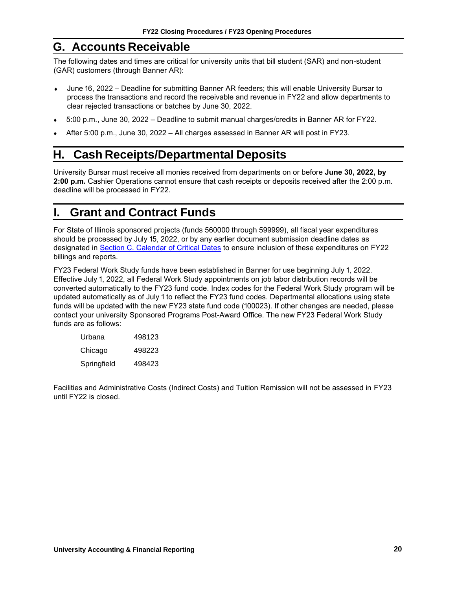# **G. Accounts Receivable**

The following dates and times are critical for university units that bill student (SAR) and non-student (GAR) customers (through Banner AR):

- June 16, 2022 Deadline for submitting Banner AR feeders; this will enable University Bursar to process the transactions and record the receivable and revenue in FY22 and allow departments to clear rejected transactions or batches by June 30, 2022.
- 5:00 p.m., June 30, 2022 Deadline to submit manual charges/credits in Banner AR for FY22.
- After 5:00 p.m., June 30, 2022 All charges assessed in Banner AR will post in FY23.

# <span id="page-21-0"></span>**H. Cash Receipts/Departmental Deposits**

University Bursar must receive all monies received from departments on or before **June 30, 2022, by 2:00 p.m.** Cashier Operations cannot ensure that cash receipts or deposits received after the 2:00 p.m. deadline will be processed in FY22.

# <span id="page-21-1"></span>**I. Grant and Contract Funds**

For State of Illinois sponsored projects (funds 560000 through 599999), all fiscal year expenditures should be processed by July 15, 2022, or by any earlier document submission deadline dates as designated in [Section C. Calendar of Critical Dates](#page-5-0) to ensure inclusion of these expenditures on FY22 billings and reports.

FY23 Federal Work Study funds have been established in Banner for use beginning July 1, 2022. Effective July 1, 2022, all Federal Work Study appointments on job labor distribution records will be converted automatically to the FY23 fund code. Index codes for the Federal Work Study program will be updated automatically as of July 1 to reflect the FY23 fund codes. Departmental allocations using state funds will be updated with the new FY23 state fund code (100023). If other changes are needed, please contact your university Sponsored Programs Post-Award Office. The new FY23 Federal Work Study funds are as follows:

| Urbana      | 498123 |
|-------------|--------|
| Chicago     | 498223 |
| Springfield | 498423 |

Facilities and Administrative Costs (Indirect Costs) and Tuition Remission will not be assessed in FY23 until FY22 is closed.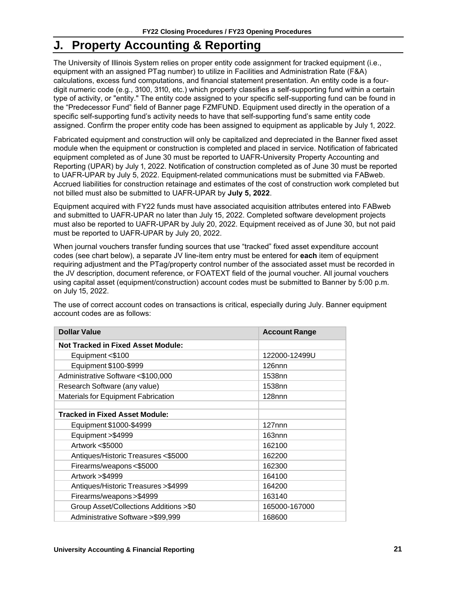# <span id="page-22-0"></span>**J. Property Accounting & Reporting**

The University of Illinois System relies on proper entity code assignment for tracked equipment (i.e., equipment with an assigned PTag number) to utilize in Facilities and Administration Rate (F&A) calculations, excess fund computations, and financial statement presentation. An entity code is a fourdigit numeric code (e.g., 3100, 3110, etc.) which properly classifies a self-supporting fund within a certain type of activity, or "entity." The entity code assigned to your specific self-supporting fund can be found in the "Predecessor Fund" field of Banner page FZMFUND. Equipment used directly in the operation of a specific self-supporting fund's activity needs to have that self-supporting fund's same entity code assigned. Confirm the proper entity code has been assigned to equipment as applicable by July 1, 2022.

Fabricated equipment and construction will only be capitalized and depreciated in the Banner fixed asset module when the equipment or construction is completed and placed in service. Notification of fabricated equipment completed as of June 30 must be reported to UAFR-University Property Accounting and Reporting (UPAR) by July 1, 2022. Notification of construction completed as of June 30 must be reported to UAFR-UPAR by July 5, 2022. Equipment-related communications must be submitted via FABweb. Accrued liabilities for construction retainage and estimates of the cost of construction work completed but not billed must also be submitted to UAFR-UPAR by **July 5, 2022**.

Equipment acquired with FY22 funds must have associated acquisition attributes entered into FABweb and submitted to UAFR-UPAR no later than July 15, 2022. Completed software development projects must also be reported to UAFR-UPAR by July 20, 2022. Equipment received as of June 30, but not paid must be reported to UAFR-UPAR by July 20, 2022.

When journal vouchers transfer funding sources that use "tracked" fixed asset expenditure account codes (see chart below), a separate JV line-item entry must be entered for **each** item of equipment requiring adjustment and the PTag/property control number of the associated asset must be recorded in the JV description, document reference, or FOATEXT field of the journal voucher. All journal vouchers using capital asset (equipment/construction) account codes must be submitted to Banner by 5:00 p.m. on July 15, 2022.

The use of correct account codes on transactions is critical, especially during July. Banner equipment account codes are as follows:

| <b>Dollar Value</b>                        | <b>Account Range</b> |
|--------------------------------------------|----------------------|
| <b>Not Tracked in Fixed Asset Module:</b>  |                      |
| Equipment <\$100                           | 122000-12499U        |
| Equipment \$100-\$999                      | $126$ nnn            |
| Administrative Software <\$100,000         | 1538nn               |
| Research Software (any value)              | 1538nn               |
| <b>Materials for Equipment Fabrication</b> | $128$ nnn            |
|                                            |                      |
| <b>Tracked in Fixed Asset Module:</b>      |                      |
| Equipment \$1000-\$4999                    | $127$ nnn            |
| Equipment > \$4999                         | 163nnn               |
| Artwork <\$5000                            | 162100               |
| Antiques/Historic Treasures <\$5000        | 162200               |
| Firearms/weapons<\$5000                    | 162300               |
| Artwork > \$4999                           | 164100               |
| Antiques/Historic Treasures > \$4999       | 164200               |
| Firearms/weapons > \$4999                  | 163140               |
| Group Asset/Collections Additions >\$0     | 165000-167000        |
| Administrative Software > \$99,999         | 168600               |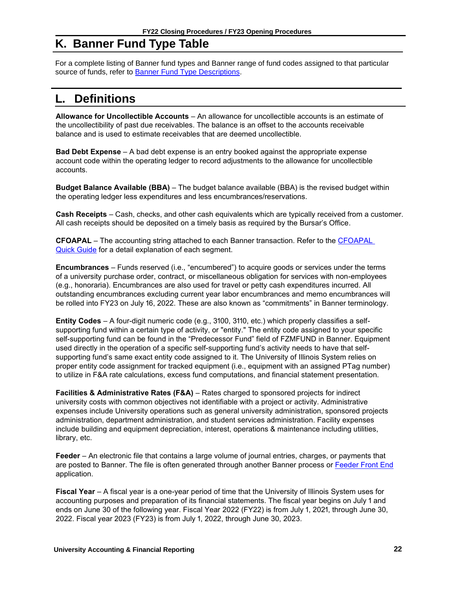# <span id="page-23-0"></span>**K. Banner Fund Type Table**

For a complete listing of Banner fund types and Banner range of fund codes assigned to that particular source of funds, refer to **Banner Fund Type Descriptions**.

# <span id="page-23-1"></span>**L. Definitions**

**Allowance for Uncollectible Accounts** – An allowance for uncollectible accounts is an estimate of the uncollectibility of past due receivables. The balance is an offset to the accounts receivable balance and is used to estimate receivables that are deemed uncollectible.

**Bad Debt Expense** – A bad debt expense is an entry booked against the appropriate expense account code within the operating ledger to record adjustments to the allowance for uncollectible accounts.

**Budget Balance Available (BBA)** – The budget balance available (BBA) is the revised budget within the operating ledger less expenditures and less encumbrances/reservations.

**Cash Receipts** – Cash, checks, and other cash equivalents which are typically received from a customer. All cash receipts should be deposited on a timely basis as required by the Bursar's Office.

**CFOAPAL** – The accounting string attached to each Banner transaction. Refer to the [CFOAPAL](https://www.obfs.uillinois.edu/training/materials/intro-banner-finance/c-foapal-quick-guide/)  [Quick Guide](https://www.obfs.uillinois.edu/training/materials/intro-banner-finance/c-foapal-quick-guide/) for a detail explanation of each segment.

**Encumbrances** – Funds reserved (i.e., "encumbered") to acquire goods or services under the terms of a university purchase order, contract, or miscellaneous obligation for services with non-employees (e.g., honoraria). Encumbrances are also used for travel or petty cash expenditures incurred. All outstanding encumbrances excluding current year labor encumbrances and memo encumbrances will be rolled into FY23 on July 16, 2022. These are also known as "commitments" in Banner terminology.

**Entity Codes** – A four-digit numeric code (e.g., 3100, 3110, etc.) which properly classifies a selfsupporting fund within a certain type of activity, or "entity." The entity code assigned to your specific self-supporting fund can be found in the "Predecessor Fund" field of FZMFUND in Banner. Equipment used directly in the operation of a specific self-supporting fund's activity needs to have that selfsupporting fund's same exact entity code assigned to it. The University of Illinois System relies on proper entity code assignment for tracked equipment (i.e., equipment with an assigned PTag number) to utilize in F&A rate calculations, excess fund computations, and financial statement presentation.

**Facilities & Administrative Rates (F&A)** – Rates charged to sponsored projects for indirect university costs with common objectives not identifiable with a project or activity. Administrative expenses include University operations such as general university administration, sponsored projects administration, department administration, and student services administration. Facility expenses include building and equipment depreciation, interest, operations & maintenance including utilities, library, etc.

**Feeder** – An electronic file that contains a large volume of journal entries, charges, or payments that are posted to Banner. The file is often generated through another Banner process or [Feeder Front End](https://www.obfs.uillinois.edu/finance-feeder-front-end-resource-page/) application.

**Fiscal Year** – A fiscal year is a one-year period of time that the University of Illinois System uses for accounting purposes and preparation of its financial statements. The fiscal year begins on July 1 and ends on June 30 of the following year. Fiscal Year 2022 (FY22) is from July 1, 2021, through June 30, 2022. Fiscal year 2023 (FY23) is from July 1, 2022, through June 30, 2023.